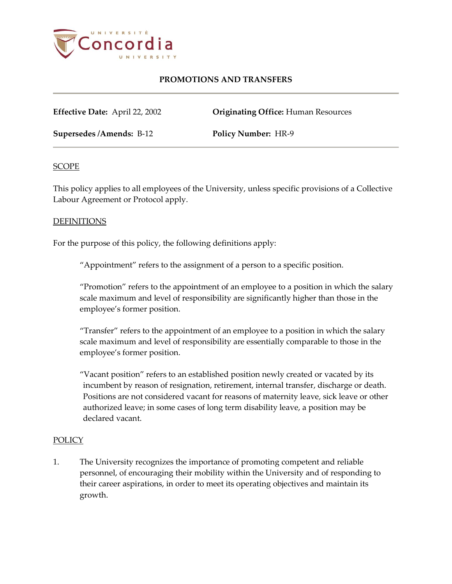

# **PROMOTIONS AND TRANSFERS**

**Effective Date:** April 22, 2002 **Originating Office:** Human Resources

**Supersedes /Amends:** B-12 **Policy Number:** HR-9

## **SCOPE**

This policy applies to all employees of the University, unless specific provisions of a Collective Labour Agreement or Protocol apply.

## DEFINITIONS

For the purpose of this policy, the following definitions apply:

"Appointment" refers to the assignment of a person to a specific position.

"Promotion" refers to the appointment of an employee to a position in which the salary scale maximum and level of responsibility are significantly higher than those in the employee's former position.

"Transfer" refers to the appointment of an employee to a position in which the salary scale maximum and level of responsibility are essentially comparable to those in the employee's former position.

"Vacant position" refers to an established position newly created or vacated by its incumbent by reason of resignation, retirement, internal transfer, discharge or death. Positions are not considered vacant for reasons of maternity leave, sick leave or other authorized leave; in some cases of long term disability leave, a position may be declared vacant.

#### POLICY

1. The University recognizes the importance of promoting competent and reliable personnel, of encouraging their mobility within the University and of responding to their career aspirations, in order to meet its operating objectives and maintain its growth.